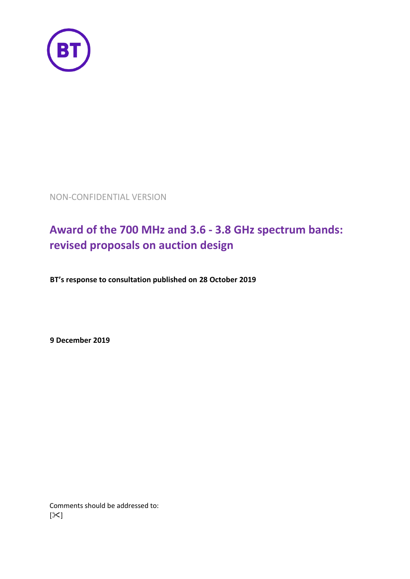

NON-CONFIDENTIAL VERSION

# **Award of the 700 MHz and 3.6 - 3.8 GHz spectrum bands: revised proposals on auction design**

**BT's response to consultation published on 28 October 2019**

**9 December 2019**

Comments should be addressed to:  $[\mathcal{K}]$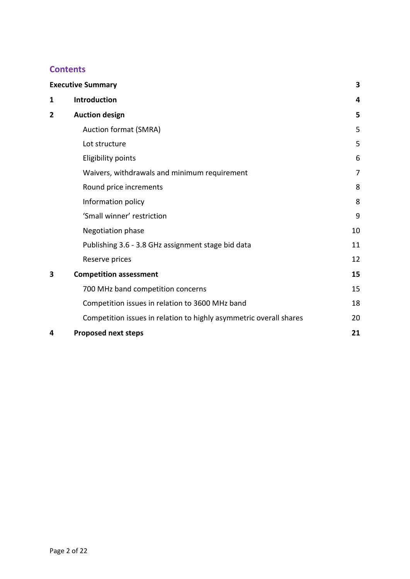# **Contents**

| <b>Executive Summary</b> |                                                                    |    |  |  |
|--------------------------|--------------------------------------------------------------------|----|--|--|
| 1                        | Introduction                                                       | 4  |  |  |
| 2                        | <b>Auction design</b>                                              |    |  |  |
|                          | Auction format (SMRA)                                              | 5  |  |  |
|                          | Lot structure                                                      | 5  |  |  |
|                          | <b>Eligibility points</b>                                          | 6  |  |  |
|                          | Waivers, withdrawals and minimum requirement                       | 7  |  |  |
|                          | Round price increments                                             | 8  |  |  |
|                          | Information policy                                                 | 8  |  |  |
|                          | 'Small winner' restriction                                         | 9  |  |  |
|                          | <b>Negotiation phase</b>                                           | 10 |  |  |
|                          | Publishing 3.6 - 3.8 GHz assignment stage bid data                 | 11 |  |  |
|                          | Reserve prices                                                     | 12 |  |  |
| 3                        | <b>Competition assessment</b>                                      | 15 |  |  |
|                          | 700 MHz band competition concerns                                  | 15 |  |  |
|                          | Competition issues in relation to 3600 MHz band                    | 18 |  |  |
|                          | Competition issues in relation to highly asymmetric overall shares | 20 |  |  |
| 4                        | <b>Proposed next steps</b>                                         | 21 |  |  |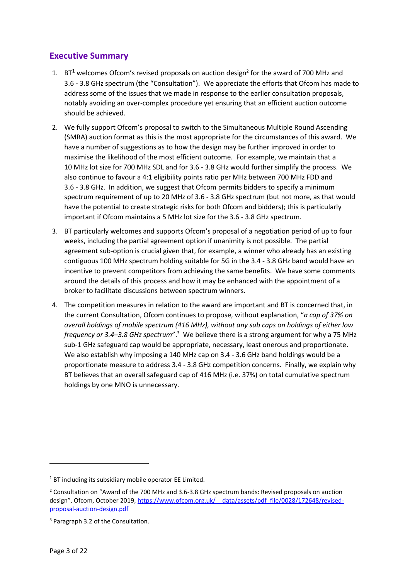# <span id="page-2-0"></span>**Executive Summary**

- 1.  $BT^1$  welcomes Ofcom's revised proposals on auction design<sup>2</sup> for the award of 700 MHz and 3.6 - 3.8 GHz spectrum (the "Consultation"). We appreciate the efforts that Ofcom has made to address some of the issues that we made in response to the earlier consultation proposals, notably avoiding an over-complex procedure yet ensuring that an efficient auction outcome should be achieved.
- 2. We fully support Ofcom's proposal to switch to the Simultaneous Multiple Round Ascending (SMRA) auction format as this is the most appropriate for the circumstances of this award. We have a number of suggestions as to how the design may be further improved in order to maximise the likelihood of the most efficient outcome. For example, we maintain that a 10 MHz lot size for 700 MHz SDL and for 3.6 - 3.8 GHz would further simplify the process. We also continue to favour a 4:1 eligibility points ratio per MHz between 700 MHz FDD and 3.6 - 3.8 GHz. In addition, we suggest that Ofcom permits bidders to specify a minimum spectrum requirement of up to 20 MHz of 3.6 - 3.8 GHz spectrum (but not more, as that would have the potential to create strategic risks for both Ofcom and bidders); this is particularly important if Ofcom maintains a 5 MHz lot size for the 3.6 - 3.8 GHz spectrum.
- 3. BT particularly welcomes and supports Ofcom's proposal of a negotiation period of up to four weeks, including the partial agreement option if unanimity is not possible. The partial agreement sub-option is crucial given that, for example, a winner who already has an existing contiguous 100 MHz spectrum holding suitable for 5G in the 3.4 - 3.8 GHz band would have an incentive to prevent competitors from achieving the same benefits. We have some comments around the details of this process and how it may be enhanced with the appointment of a broker to facilitate discussions between spectrum winners.
- 4. The competition measures in relation to the award are important and BT is concerned that, in the current Consultation, Ofcom continues to propose, without explanation, "*a cap of 37% on overall holdings of mobile spectrum (416 MHz), without any sub caps on holdings of either low frequency or 3.4–3.8 GHz spectrum*".<sup>3</sup> We believe there is a strong argument for why a 75 MHz sub-1 GHz safeguard cap would be appropriate, necessary, least onerous and proportionate. We also establish why imposing a 140 MHz cap on 3.4 - 3.6 GHz band holdings would be a proportionate measure to address 3.4 - 3.8 GHz competition concerns. Finally, we explain why BT believes that an overall safeguard cap of 416 MHz (i.e. 37%) on total cumulative spectrum holdings by one MNO is unnecessary.

<sup>&</sup>lt;sup>1</sup> BT including its subsidiary mobile operator EE Limited.

<sup>2</sup> Consultation on "Award of the 700 MHz and 3.6-3.8 GHz spectrum bands: Revised proposals on auction design", Ofcom, October 2019, [https://www.ofcom.org.uk/\\_\\_data/assets/pdf\\_file/0028/172648/revised](https://www.ofcom.org.uk/__data/assets/pdf_file/0028/172648/revised-proposal-auction-design.pdf)[proposal-auction-design.pdf](https://www.ofcom.org.uk/__data/assets/pdf_file/0028/172648/revised-proposal-auction-design.pdf)

<sup>&</sup>lt;sup>3</sup> Paragraph 3.2 of the Consultation.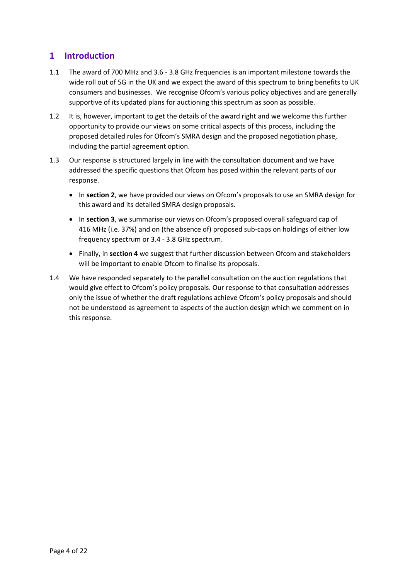# <span id="page-3-0"></span>**1 Introduction**

- 1.1 The award of 700 MHz and 3.6 3.8 GHz frequencies is an important milestone towards the wide roll out of 5G in the UK and we expect the award of this spectrum to bring benefits to UK consumers and businesses. We recognise Ofcom's various policy objectives and are generally supportive of its updated plans for auctioning this spectrum as soon as possible.
- 1.2 It is, however, important to get the details of the award right and we welcome this further opportunity to provide our views on some critical aspects of this process, including the proposed detailed rules for Ofcom's SMRA design and the proposed negotiation phase, including the partial agreement option.
- 1.3 Our response is structured largely in line with the consultation document and we have addressed the specific questions that Ofcom has posed within the relevant parts of our response.
	- In **section 2**, we have provided our views on Ofcom's proposals to use an SMRA design for this award and its detailed SMRA design proposals.
	- In **section 3**, we summarise our views on Ofcom's proposed overall safeguard cap of 416 MHz (i.e. 37%) and on (the absence of) proposed sub-caps on holdings of either low frequency spectrum or 3.4 - 3.8 GHz spectrum.
	- Finally, in **section 4** we suggest that further discussion between Ofcom and stakeholders will be important to enable Ofcom to finalise its proposals.
- 1.4 We have responded separately to the parallel consultation on the auction regulations that would give effect to Ofcom's policy proposals. Our response to that consultation addresses only the issue of whether the draft regulations achieve Ofcom's policy proposals and should not be understood as agreement to aspects of the auction design which we comment on in this response.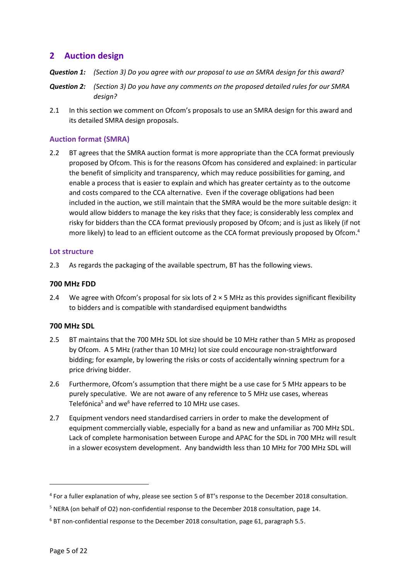# <span id="page-4-0"></span>**2 Auction design**

- *Question 1: (Section 3) Do you agree with our proposal to use an SMRA design for this award?*
- *Question 2: (Section 3) Do you have any comments on the proposed detailed rules for our SMRA design?*
- 2.1 In this section we comment on Ofcom's proposals to use an SMRA design for this award and its detailed SMRA design proposals.

# <span id="page-4-1"></span>**Auction format (SMRA)**

2.2 BT agrees that the SMRA auction format is more appropriate than the CCA format previously proposed by Ofcom. This is for the reasons Ofcom has considered and explained: in particular the benefit of simplicity and transparency, which may reduce possibilities for gaming, and enable a process that is easier to explain and which has greater certainty as to the outcome and costs compared to the CCA alternative. Even if the coverage obligations had been included in the auction, we still maintain that the SMRA would be the more suitable design: it would allow bidders to manage the key risks that they face; is considerably less complex and risky for bidders than the CCA format previously proposed by Ofcom; and is just as likely (if not more likely) to lead to an efficient outcome as the CCA format previously proposed by Ofcom.<sup>4</sup>

#### <span id="page-4-2"></span>**Lot structure**

2.3 As regards the packaging of the available spectrum, BT has the following views.

#### **700 MHz FDD**

2.4 We agree with Ofcom's proposal for six lots of  $2 \times 5$  MHz as this provides significant flexibility to bidders and is compatible with standardised equipment bandwidths

# **700 MHz SDL**

- 2.5 BT maintains that the 700 MHz SDL lot size should be 10 MHz rather than 5 MHz as proposed by Ofcom. A 5 MHz (rather than 10 MHz) lot size could encourage non-straightforward bidding; for example, by lowering the risks or costs of accidentally winning spectrum for a price driving bidder.
- 2.6 Furthermore, Ofcom's assumption that there might be a use case for 5 MHz appears to be purely speculative. We are not aware of any reference to 5 MHz use cases, whereas Telefónica<sup>5</sup> and we<sup>6</sup> have referred to 10 MHz use cases.
- 2.7 Equipment vendors need standardised carriers in order to make the development of equipment commercially viable, especially for a band as new and unfamiliar as 700 MHz SDL. Lack of complete harmonisation between Europe and APAC for the SDL in 700 MHz will result in a slower ecosystem development. Any bandwidth less than 10 MHz for 700 MHz SDL will

<sup>&</sup>lt;sup>4</sup> For a fuller explanation of why, please see section 5 of BT's response to the December 2018 consultation.

<sup>5</sup> NERA (on behalf of O2) non-confidential response to the December 2018 consultation, page 14.

<sup>&</sup>lt;sup>6</sup> BT non-confidential response to the December 2018 consultation, page 61, paragraph 5.5.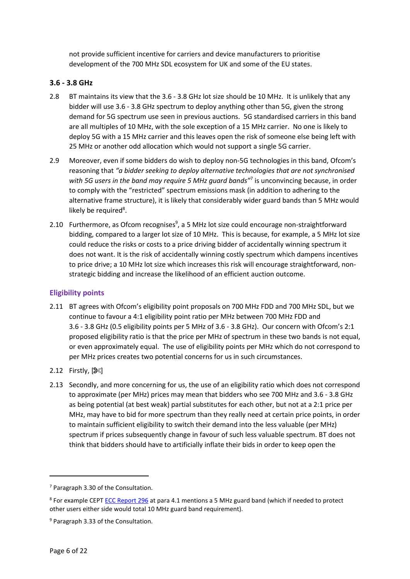not provide sufficient incentive for carriers and device manufacturers to prioritise development of the 700 MHz SDL ecosystem for UK and some of the EU states.

# **3.6 - 3.8 GHz**

- 2.8 BT maintains its view that the 3.6 3.8 GHz lot size should be 10 MHz. It is unlikely that any bidder will use 3.6 - 3.8 GHz spectrum to deploy anything other than 5G, given the strong demand for 5G spectrum use seen in previous auctions. 5G standardised carriers in this band are all multiples of 10 MHz, with the sole exception of a 15 MHz carrier. No one is likely to deploy 5G with a 15 MHz carrier and this leaves open the risk of someone else being left with 25 MHz or another odd allocation which would not support a single 5G carrier.
- 2.9 Moreover, even if some bidders do wish to deploy non-5G technologies in this band, Ofcom's reasoning that *"a bidder seeking to deploy alternative technologies that are not synchronised with 5G users in the band may require 5 MHz guard bands"*<sup>7</sup> is unconvincing because, in order to comply with the "restricted" spectrum emissions mask (in addition to adhering to the alternative frame structure), it is likely that considerably wider guard bands than 5 MHz would likely be required<sup>8</sup>.
- 2.10 Furthermore, as Ofcom recognises<sup>9</sup>, a 5 MHz lot size could encourage non-straightforward bidding, compared to a larger lot size of 10 MHz. This is because, for example, a 5 MHz lot size could reduce the risks or costs to a price driving bidder of accidentally winning spectrum it does not want. It is the risk of accidentally winning costly spectrum which dampens incentives to price drive; a 10 MHz lot size which increases this risk will encourage straightforward, nonstrategic bidding and increase the likelihood of an efficient auction outcome.

# <span id="page-5-0"></span>**Eligibility points**

- 2.11 BT agrees with Ofcom's eligibility point proposals on 700 MHz FDD and 700 MHz SDL, but we continue to favour a 4:1 eligibility point ratio per MHz between 700 MHz FDD and 3.6 - 3.8 GHz (0.5 eligibility points per 5 MHz of 3.6 - 3.8 GHz). Our concern with Ofcom's 2:1 proposed eligibility ratio is that the price per MHz of spectrum in these two bands is not equal, or even approximately equal. The use of eligibility points per MHz which do not correspond to per MHz prices creates two potential concerns for us in such circumstances.
- 2.12 Firstly,  $[%]$  $[%]$
- 2.13 Secondly, and more concerning for us, the use of an eligibility ratio which does not correspond to approximate (per MHz) prices may mean that bidders who see 700 MHz and 3.6 - 3.8 GHz as being potential (at best weak) partial substitutes for each other, but not at a 2:1 price per MHz, may have to bid for more spectrum than they really need at certain price points, in order to maintain sufficient eligibility to switch their demand into the less valuable (per MHz) spectrum if prices subsequently change in favour of such less valuable spectrum. BT does not think that bidders should have to artificially inflate their bids in order to keep open the

<sup>7</sup> Paragraph 3.30 of the Consultation.

<sup>&</sup>lt;sup>8</sup> For example CEPT **ECC Report 296** at para 4.1 mentions a 5 MHz guard band (which if needed to protect other users either side would total 10 MHz guard band requirement).

<sup>&</sup>lt;sup>9</sup> Paragraph 3.33 of the Consultation.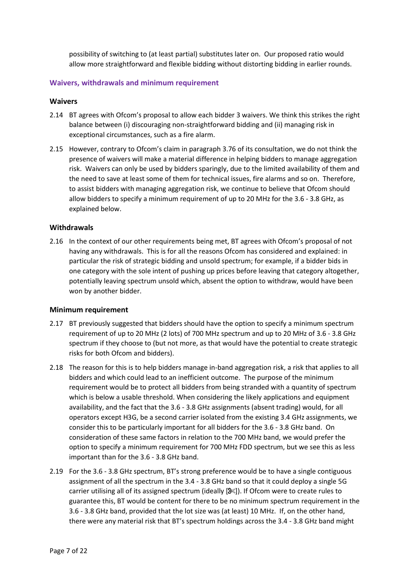possibility of switching to (at least partial) substitutes later on. Our proposed ratio would allow more straightforward and flexible bidding without distorting bidding in earlier rounds.

# <span id="page-6-0"></span>**Waivers, withdrawals and minimum requirement**

#### **Waivers**

- 2.14 BT agrees with Ofcom's proposal to allow each bidder 3 waivers. We think this strikes the right balance between (i) discouraging non-straightforward bidding and (ii) managing risk in exceptional circumstances, such as a fire alarm.
- 2.15 However, contrary to Ofcom's claim in paragraph 3.76 of its consultation, we do not think the presence of waivers will make a material difference in helping bidders to manage aggregation risk. Waivers can only be used by bidders sparingly, due to the limited availability of them and the need to save at least some of them for technical issues, fire alarms and so on. Therefore, to assist bidders with managing aggregation risk, we continue to believe that Ofcom should allow bidders to specify a minimum requirement of up to 20 MHz for the 3.6 - 3.8 GHz, as explained below.

#### **Withdrawals**

2.16 In the context of our other requirements being met, BT agrees with Ofcom's proposal of not having any withdrawals. This is for all the reasons Ofcom has considered and explained: in particular the risk of strategic bidding and unsold spectrum; for example, if a bidder bids in one category with the sole intent of pushing up prices before leaving that category altogether, potentially leaving spectrum unsold which, absent the option to withdraw, would have been won by another bidder.

#### **Minimum requirement**

- 2.17 BT previously suggested that bidders should have the option to specify a minimum spectrum requirement of up to 20 MHz (2 lots) of 700 MHz spectrum and up to 20 MHz of 3.6 - 3.8 GHz spectrum if they choose to (but not more, as that would have the potential to create strategic risks for both Ofcom and bidders).
- 2.18 The reason for this is to help bidders manage in-band aggregation risk, a risk that applies to all bidders and which could lead to an inefficient outcome. The purpose of the minimum requirement would be to protect all bidders from being stranded with a quantity of spectrum which is below a usable threshold. When considering the likely applications and equipment availability, and the fact that the 3.6 - 3.8 GHz assignments (absent trading) would, for all operators except H3G, be a second carrier isolated from the existing 3.4 GHz assignments, we consider this to be particularly important for all bidders for the 3.6 - 3.8 GHz band. On consideration of these same factors in relation to the 700 MHz band, we would prefer the option to specify a minimum requirement for 700 MHz FDD spectrum, but we see this as less important than for the 3.6 - 3.8 GHz band.
- 2.19 For the 3.6 3.8 GHz spectrum, BT's strong preference would be to have a single contiguous assignment of all the spectrum in the 3.4 - 3.8 GHz band so that it could deploy a single 5G carrier utilising all of its assigned spectrum (ideally  $[8<sup>g</sup>]$  $[8<sup>g</sup>]$ ). If Ofcom were to create rules to guarantee this, BT would be content for there to be no minimum spectrum requirement in the 3.6 - 3.8 GHz band, provided that the lot size was (at least) 10 MHz. If, on the other hand, there were any material risk that BT's spectrum holdings across the 3.4 - 3.8 GHz band might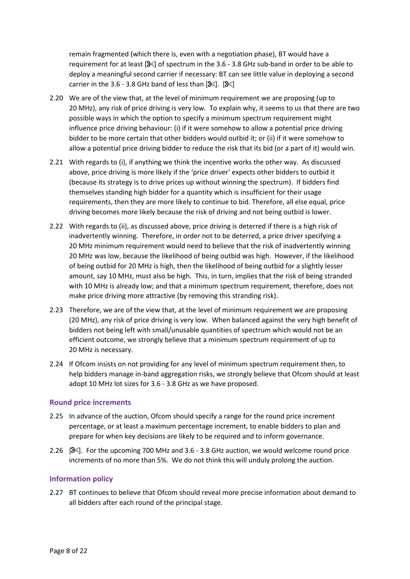remain fragmented (which there is, even with a negotiation phase), BT would have a requirement for at least  $[8 \times]$  $[8 \times]$  of spectrum in the 3.6 - 3.8 GHz sub-band in order to be able to deploy a meaningful second carrier if necessary: BT can see little value in deploying a second carrier in the 3.6 - 3.8 GHz band of less than  $[%].$  $[%].$   $[%]$ .

- 2.20 We are of the view that, at the level of minimum requirement we are proposing (up to 20 MHz), any risk of price driving is very low. To explain why, it seems to us that there are two possible ways in which the option to specify a minimum spectrum requirement might influence price driving behaviour: (i) if it were somehow to allow a potential price driving bidder to be more certain that other bidders would outbid it; or (ii) if it were somehow to allow a potential price driving bidder to reduce the risk that its bid (or a part of it) would win.
- 2.21 With regards to (i), if anything we think the incentive works the other way. As discussed above, price driving is more likely if the 'price driver' expects other bidders to outbid it (because its strategy is to drive prices up without winning the spectrum). If bidders find themselves standing high bidder for a quantity which is insufficient for their usage requirements, then they are more likely to continue to bid. Therefore, all else equal, price driving becomes more likely because the risk of driving and not being outbid is lower.
- 2.22 With regards to (ii), as discussed above, price driving is deterred if there is a high risk of inadvertently winning. Therefore, in order not to be deterred, a price driver specifying a 20 MHz minimum requirement would need to believe that the risk of inadvertently winning 20 MHz was low, because the likelihood of being outbid was high. However, if the likelihood of being outbid for 20 MHz is high, then the likelihood of being outbid for a slightly lesser amount, say 10 MHz, must also be high. This, in turn, implies that the risk of being stranded with 10 MHz is already low; and that a minimum spectrum requirement, therefore, does not make price driving more attractive (by removing this stranding risk).
- 2.23 Therefore, we are of the view that, at the level of minimum requirement we are proposing (20 MHz), any risk of price driving is very low. When balanced against the very high benefit of bidders not being left with small/unusable quantities of spectrum which would not be an efficient outcome, we strongly believe that a minimum spectrum requirement of up to 20 MHz is necessary.
- 2.24 If Ofcom insists on not providing for any level of minimum spectrum requirement then, to help bidders manage in-band aggregation risks, we strongly believe that Ofcom should at least adopt 10 MHz lot sizes for 3.6 - 3.8 GHz as we have proposed.

#### <span id="page-7-0"></span>**Round price increments**

- 2.25 In advance of the auction, Ofcom should specify a range for the round price increment percentage, or at least a maximum percentage increment, to enable bidders to plan and prepare for when key decisions are likely to be required and to inform governance.
- 2.26 [ $\%$ ]. For the upcoming 700 MHz and 3.6 3.8 GHz auction, we would welcome round price increments of no more than 5%. We do not think this will unduly prolong the auction.

# <span id="page-7-1"></span>**Information policy**

2.27 BT continues to believe that Ofcom should reveal more precise information about demand to all bidders after each round of the principal stage.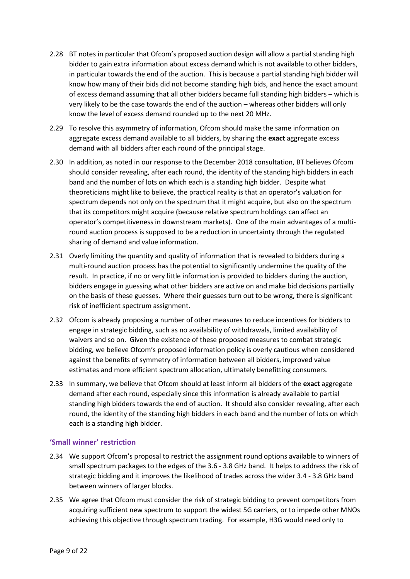- 2.28 BT notes in particular that Ofcom's proposed auction design will allow a partial standing high bidder to gain extra information about excess demand which is not available to other bidders, in particular towards the end of the auction. This is because a partial standing high bidder will know how many of their bids did not become standing high bids, and hence the exact amount of excess demand assuming that all other bidders became full standing high bidders – which is very likely to be the case towards the end of the auction – whereas other bidders will only know the level of excess demand rounded up to the next 20 MHz.
- 2.29 To resolve this asymmetry of information, Ofcom should make the same information on aggregate excess demand available to all bidders, by sharing the **exact** aggregate excess demand with all bidders after each round of the principal stage.
- 2.30 In addition, as noted in our response to the December 2018 consultation, BT believes Ofcom should consider revealing, after each round, the identity of the standing high bidders in each band and the number of lots on which each is a standing high bidder. Despite what theoreticians might like to believe, the practical reality is that an operator's valuation for spectrum depends not only on the spectrum that it might acquire, but also on the spectrum that its competitors might acquire (because relative spectrum holdings can affect an operator's competitiveness in downstream markets). One of the main advantages of a multiround auction process is supposed to be a reduction in uncertainty through the regulated sharing of demand and value information.
- 2.31 Overly limiting the quantity and quality of information that is revealed to bidders during a multi-round auction process has the potential to significantly undermine the quality of the result. In practice, if no or very little information is provided to bidders during the auction, bidders engage in guessing what other bidders are active on and make bid decisions partially on the basis of these guesses. Where their guesses turn out to be wrong, there is significant risk of inefficient spectrum assignment.
- 2.32 Ofcom is already proposing a number of other measures to reduce incentives for bidders to engage in strategic bidding, such as no availability of withdrawals, limited availability of waivers and so on. Given the existence of these proposed measures to combat strategic bidding, we believe Ofcom's proposed information policy is overly cautious when considered against the benefits of symmetry of information between all bidders, improved value estimates and more efficient spectrum allocation, ultimately benefitting consumers.
- 2.33 In summary, we believe that Ofcom should at least inform all bidders of the **exact** aggregate demand after each round, especially since this information is already available to partial standing high bidders towards the end of auction. It should also consider revealing, after each round, the identity of the standing high bidders in each band and the number of lots on which each is a standing high bidder.

# <span id="page-8-0"></span>**'Small winner' restriction**

- 2.34 We support Ofcom's proposal to restrict the assignment round options available to winners of small spectrum packages to the edges of the 3.6 - 3.8 GHz band. It helps to address the risk of strategic bidding and it improves the likelihood of trades across the wider 3.4 - 3.8 GHz band between winners of larger blocks.
- 2.35 We agree that Ofcom must consider the risk of strategic bidding to prevent competitors from acquiring sufficient new spectrum to support the widest 5G carriers, or to impede other MNOs achieving this objective through spectrum trading. For example, H3G would need only to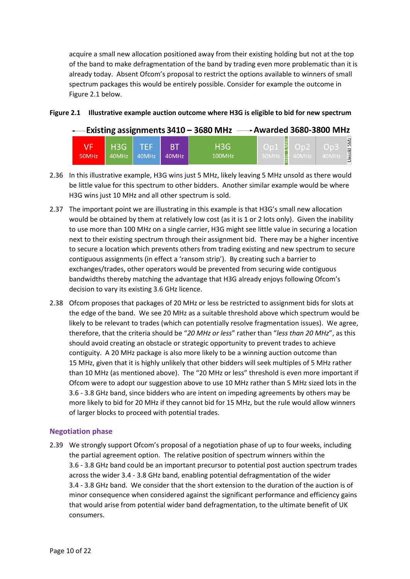acquire a small new allocation positioned away from their existing holding but not at the top of the band to make defragmentation of the band by trading even more problematic than it is already today. Absent Ofcom's proposal to restrict the options available to winners of small spectrum packages this would be entirely possible. Consider for example the outcome in [Figure 2.1](#page-9-1) below.

#### <span id="page-9-1"></span>**Figure 2.1 Illustrative example auction outcome where H3G is eligible to bid for new spectrum**

| $\leftarrow$ Existing assignments 3410 – 3680 MHz $\longrightarrow$ Awarded 3680-3800 MHz |                  |       |                    |                            |                          |  |                             |  |  |  |
|-------------------------------------------------------------------------------------------|------------------|-------|--------------------|----------------------------|--------------------------|--|-----------------------------|--|--|--|
| VF'<br>50MHz                                                                              | H3G TEF<br>40MHz | 40MHz | <b>RT</b><br>40MHz | H <sub>3</sub> G<br>100MHz | L 30MHz <b>Y</b> 40MHz N |  | Unsold 5Mz<br>-Op3<br>40MHz |  |  |  |

- 2.36 In this illustrative example, H3G wins just 5 MHz, likely leaving 5 MHz unsold as there would be little value for this spectrum to other bidders. Another similar example would be where H3G wins just 10 MHz and all other spectrum is sold.
- 2.37 The important point we are illustrating in this example is that H3G's small new allocation would be obtained by them at relatively low cost (as it is 1 or 2 lots only). Given the inability to use more than 100 MHz on a single carrier, H3G might see little value in securing a location next to their existing spectrum through their assignment bid. There may be a higher incentive to secure a location which prevents others from trading existing and new spectrum to secure contiguous assignments (in effect a 'ransom strip'). By creating such a barrier to exchanges/trades, other operators would be prevented from securing wide contiguous bandwidths thereby matching the advantage that H3G already enjoys following Ofcom's decision to vary its existing 3.6 GHz licence.
- 2.38 Ofcom proposes that packages of 20 MHz or less be restricted to assignment bids for slots at the edge of the band. We see 20 MHz as a suitable threshold above which spectrum would be likely to be relevant to trades (which can potentially resolve fragmentation issues). We agree, therefore, that the criteria should be "*20 MHz or less*" rather than "*less than 20 MHz*", as this should avoid creating an obstacle or strategic opportunity to prevent trades to achieve contiguity. A 20 MHz package is also more likely to be a winning auction outcome than 15 MHz, given that it is highly unlikely that other bidders will seek multiples of 5 MHz rather than 10 MHz (as mentioned above). The "20 MHz or less" threshold is even more important if Ofcom were to adopt our suggestion above to use 10 MHz rather than 5 MHz sized lots in the 3.6 - 3.8 GHz band, since bidders who are intent on impeding agreements by others may be more likely to bid for 20 MHz if they cannot bid for 15 MHz, but the rule would allow winners of larger blocks to proceed with potential trades.

# <span id="page-9-0"></span>**Negotiation phase**

2.39 We strongly support Ofcom's proposal of a negotiation phase of up to four weeks, including the partial agreement option. The relative position of spectrum winners within the 3.6 - 3.8 GHz band could be an important precursor to potential post auction spectrum trades across the wider 3.4 - 3.8 GHz band, enabling potential defragmentation of the wider 3.4 - 3.8 GHz band. We consider that the short extension to the duration of the auction is of minor consequence when considered against the significant performance and efficiency gains that would arise from potential wider band defragmentation, to the ultimate benefit of UK consumers.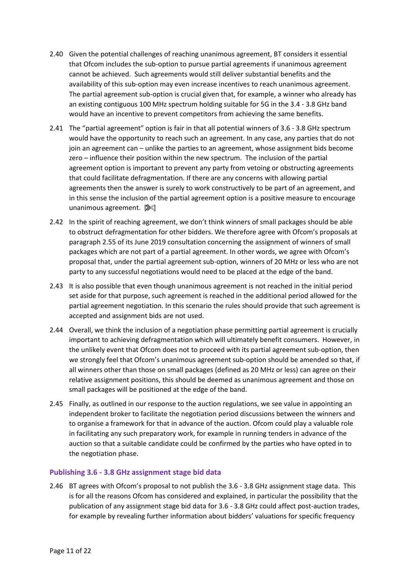- 2.40 Given the potential challenges of reaching unanimous agreement, BT considers it essential that Ofcom includes the sub-option to pursue partial agreements if unanimous agreement cannot be achieved. Such agreements would still deliver substantial benefits and the availability of this sub-option may even increase incentives to reach unanimous agreement. The partial agreement sub-option is crucial given that, for example, a winner who already has an existing contiguous 100 MHz spectrum holding suitable for 5G in the 3.4 - 3.8 GHz band would have an incentive to prevent competitors from achieving the same benefits.
- 2.41 The "partial agreement" option is fair in that all potential winners of 3.6 3.8 GHz spectrum would have the opportunity to reach such an agreement. In any case, any parties that do not join an agreement can – unlike the parties to an agreement, whose assignment bids become zero – influence their position within the new spectrum. The inclusion of the partial agreement option is important to prevent any party from vetoing or obstructing agreements that could facilitate defragmentation. If there are any concerns with allowing partial agreements then the answer is surely to work constructively to be part of an agreement, and in this sense the inclusion of the partial agreement option is a positive measure to encourage unanimous agreement.  $[$
- 2.42 In the spirit of reaching agreement, we don't think winners of small packages should be able to obstruct defragmentation for other bidders. We therefore agree with Ofcom's proposals at paragraph 2.55 of its June 2019 consultation concerning the assignment of winners of small packages which are not part of a partial agreement. In other words, we agree with Ofcom's proposal that, under the partial agreement sub-option, winners of 20 MHz or less who are not party to any successful negotiations would need to be placed at the edge of the band.
- 2.43 It is also possible that even though unanimous agreement is not reached in the initial period set aside for that purpose, such agreement is reached in the additional period allowed for the partial agreement negotiation. In this scenario the rules should provide that such agreement is accepted and assignment bids are not used.
- 2.44 Overall, we think the inclusion of a negotiation phase permitting partial agreement is crucially important to achieving defragmentation which will ultimately benefit consumers. However, in the unlikely event that Ofcom does not to proceed with its partial agreement sub-option, then we strongly feel that Ofcom's unanimous agreement sub-option should be amended so that, if all winners other than those on small packages (defined as 20 MHz or less) can agree on their relative assignment positions, this should be deemed as unanimous agreement and those on small packages will be positioned at the edge of the band.
- 2.45 Finally, as outlined in our response to the auction regulations, we see value in appointing an independent broker to facilitate the negotiation period discussions between the winners and to organise a framework for that in advance of the auction. Ofcom could play a valuable role in facilitating any such preparatory work, for example in running tenders in advance of the auction so that a suitable candidate could be confirmed by the parties who have opted in to the negotiation phase.

# <span id="page-10-0"></span>**Publishing 3.6 - 3.8 GHz assignment stage bid data**

2.46 BT agrees with Ofcom's proposal to not publish the 3.6 - 3.8 GHz assignment stage data. This is for all the reasons Ofcom has considered and explained, in particular the possibility that the publication of any assignment stage bid data for 3.6 - 3.8 GHz could affect post-auction trades, for example by revealing further information about bidders' valuations for specific frequency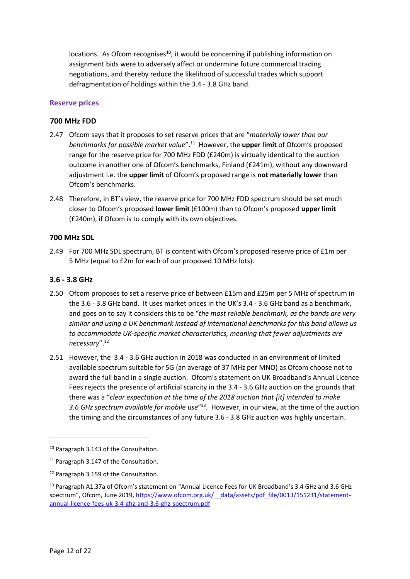locations. As Ofcom recognises<sup>10</sup>, it would be concerning if publishing information on assignment bids were to adversely affect or undermine future commercial trading negotiations, and thereby reduce the likelihood of successful trades which support defragmentation of holdings within the 3.4 - 3.8 GHz band.

### <span id="page-11-0"></span>**Reserve prices**

#### **700 MHz FDD**

- 2.47 Ofcom says that it proposes to set reserve prices that are "*materially lower than our benchmarks for possible market value*". <sup>11</sup> However, the **upper limit** of Ofcom's proposed range for the reserve price for 700 MHz FDD (£240m) is virtually identical to the auction outcome in another one of Ofcom's benchmarks, Finland (£241m), without any downward adjustment i.e. the **upper limit** of Ofcom's proposed range is **not materially lower** than Ofcom's benchmarks.
- 2.48 Therefore, in BT's view, the reserve price for 700 MHz FDD spectrum should be set much closer to Ofcom's proposed **lower limit** (£100m) than to Ofcom's proposed **upper limit** (£240m), if Ofcom is to comply with its own objectives.

#### **700 MHz SDL**

2.49 For 700 MHz SDL spectrum, BT is content with Ofcom's proposed reserve price of £1m per 5 MHz (equal to £2m for each of our proposed 10 MHz lots).

#### **3.6 - 3.8 GHz**

- 2.50 Ofcom proposes to set a reserve price of between £15m and £25m per 5 MHz of spectrum in the 3.6 - 3.8 GHz band. It uses market prices in the UK's 3.4 - 3.6 GHz band as a benchmark, and goes on to say it considers this to be "*the most reliable benchmark, as the bands are very similar and using a UK benchmark instead of international benchmarks for this band allows us to accommodate UK-specific market characteristics, meaning that fewer adjustments are necessary*". 12
- 2.51 However, the 3.4 3.6 GHz auction in 2018 was conducted in an environment of limited available spectrum suitable for 5G (an average of 37 MHz per MNO) as Ofcom choose not to award the full band in a single auction. Ofcom's statement on UK Broadband's Annual Licence Fees rejects the presence of artificial scarcity in the 3.4 - 3.6 GHz auction on the grounds that there was a "*clear expectation at the time of the 2018 auction that [it] intended to make*  3.6 GHz spectrum available for mobile use<sup>"13</sup>. However, in our view, at the time of the auction the timing and the circumstances of any future 3.6 - 3.8 GHz auction was highly uncertain.

 $\overline{\phantom{a}}$ 

<sup>10</sup> Paragraph 3.143 of the Consultation.

<sup>&</sup>lt;sup>11</sup> Paragraph 3.147 of the Consultation.

<sup>12</sup> Paragraph 3.159 of the Consultation.

<sup>13</sup> Paragraph A1.37a of Ofcom's statement on "Annual Licence Fees for UK Broadband's 3.4 GHz and 3.6 GHz spectrum", Ofcom, June 2019, https://www.ofcom.org.uk/ data/assets/pdf file/0013/151231/statement[annual-licence-fees-uk-3.4-ghz-and-3.6-ghz-spectrum.pdf](https://www.ofcom.org.uk/__data/assets/pdf_file/0013/151231/statement-annual-licence-fees-uk-3.4-ghz-and-3.6-ghz-spectrum.pdf)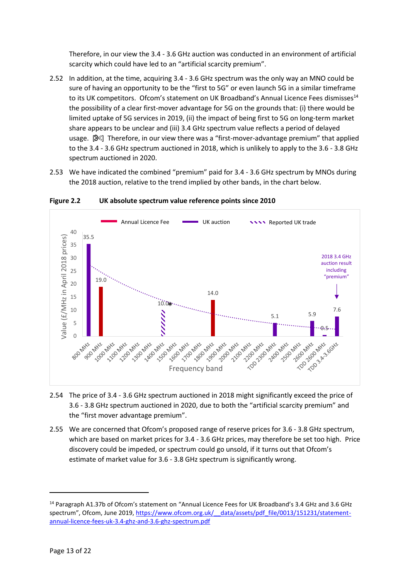Therefore, in our view the 3.4 - 3.6 GHz auction was conducted in an environment of artificial scarcity which could have led to an "artificial scarcity premium".

- 2.52 In addition, at the time, acquiring 3.4 3.6 GHz spectrum was the only way an MNO could be sure of having an opportunity to be the "first to 5G" or even launch 5G in a similar timeframe to its UK competitors. Ofcom's statement on UK Broadband's Annual Licence Fees dismisses<sup>14</sup> the possibility of a clear first-mover advantage for 5G on the grounds that: (i) there would be limited uptake of 5G services in 2019, (ii) the impact of being first to 5G on long-term market share appears to be unclear and (iii) 3.4 GHz spectrum value reflects a period of delayed usage. [\[](https://www.google.co.uk/url?sa=i&rct=j&q=&esrc=s&source=images&cd=&ved=2ahUKEwjasLiOn9HcAhWDa1AKHVRwBS0QjRx6BAgBEAU&url=https%3A%2F%2Fwww.onlinewebfonts.com%2Ficon%2F369&psig=AOvVaw3dpp7_cdTqL5j9rx2zKYi6&ust=1533398062895537) $\mathcal{S}$ ] Therefore, in our view there was a "first-mover-advantage premium" that applied to the 3.4 - 3.6 GHz spectrum auctioned in 2018, which is unlikely to apply to the 3.6 - 3.8 GHz spectrum auctioned in 2020.
- 2.53 We have indicated the combined "premium" paid for 3.4 3.6 GHz spectrum by MNOs during the 2018 auction, relative to the trend implied by other bands, in the chart below.



**Figure 2.2 UK absolute spectrum value reference points since 2010**

- 2.54 The price of 3.4 3.6 GHz spectrum auctioned in 2018 might significantly exceed the price of 3.6 - 3.8 GHz spectrum auctioned in 2020, due to both the "artificial scarcity premium" and the "first mover advantage premium".
- 2.55 We are concerned that Ofcom's proposed range of reserve prices for 3.6 3.8 GHz spectrum, which are based on market prices for 3.4 - 3.6 GHz prices, may therefore be set too high. Price discovery could be impeded, or spectrum could go unsold, if it turns out that Ofcom's estimate of market value for 3.6 - 3.8 GHz spectrum is significantly wrong.

<sup>14</sup> Paragraph A1.37b of Ofcom's statement on "Annual Licence Fees for UK Broadband's 3.4 GHz and 3.6 GHz spectrum", Ofcom, June 2019, https://www.ofcom.org.uk/ data/assets/pdf file/0013/151231/statement[annual-licence-fees-uk-3.4-ghz-and-3.6-ghz-spectrum.pdf](https://www.ofcom.org.uk/__data/assets/pdf_file/0013/151231/statement-annual-licence-fees-uk-3.4-ghz-and-3.6-ghz-spectrum.pdf)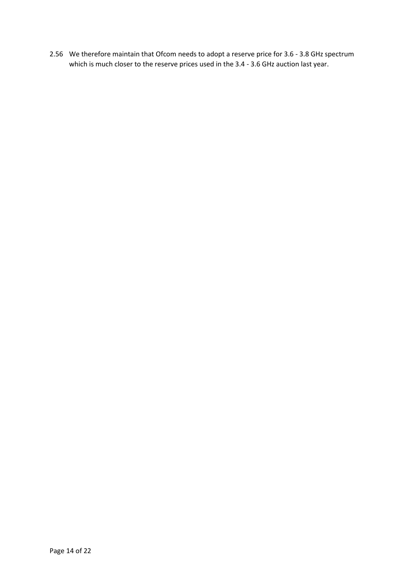2.56 We therefore maintain that Ofcom needs to adopt a reserve price for 3.6 - 3.8 GHz spectrum which is much closer to the reserve prices used in the 3.4 - 3.6 GHz auction last year.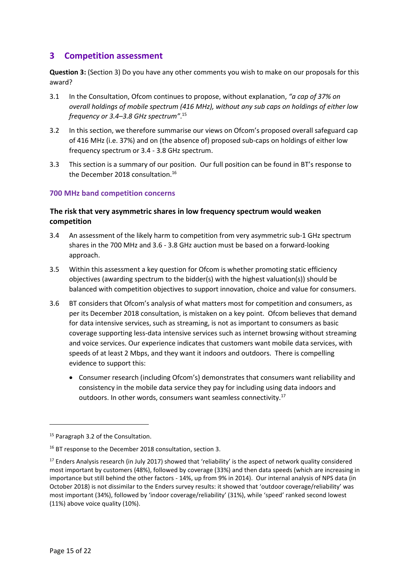# <span id="page-14-0"></span>**3 Competition assessment**

**Question 3:** (Section 3) Do you have any other comments you wish to make on our proposals for this award?

- 3.1 In the Consultation, Ofcom continues to propose, without explanation, *"a cap of 37% on overall holdings of mobile spectrum (416 MHz), without any sub caps on holdings of either low frequency or 3.4–3.8 GHz spectrum"*. 15
- 3.2 In this section, we therefore summarise our views on Ofcom's proposed overall safeguard cap of 416 MHz (i.e. 37%) and on (the absence of) proposed sub-caps on holdings of either low frequency spectrum or 3.4 - 3.8 GHz spectrum.
- 3.3 This section is a summary of our position. Our full position can be found in BT's response to the December 2018 consultation.<sup>16</sup>

# <span id="page-14-1"></span>**700 MHz band competition concerns**

# **The risk that very asymmetric shares in low frequency spectrum would weaken competition**

- 3.4 An assessment of the likely harm to competition from very asymmetric sub-1 GHz spectrum shares in the 700 MHz and 3.6 - 3.8 GHz auction must be based on a forward-looking approach.
- 3.5 Within this assessment a key question for Ofcom is whether promoting static efficiency objectives (awarding spectrum to the bidder(s) with the highest valuation(s)) should be balanced with competition objectives to support innovation, choice and value for consumers.
- 3.6 BT considers that Ofcom's analysis of what matters most for competition and consumers, as per its December 2018 consultation, is mistaken on a key point. Ofcom believes that demand for data intensive services, such as streaming, is not as important to consumers as basic coverage supporting less-data intensive services such as internet browsing without streaming and voice services. Our experience indicates that customers want mobile data services, with speeds of at least 2 Mbps, and they want it indoors and outdoors. There is compelling evidence to support this:
	- Consumer research (including Ofcom's) demonstrates that consumers want reliability and consistency in the mobile data service they pay for including using data indoors and outdoors. In other words, consumers want seamless connectivity.<sup>17</sup>

 $\overline{a}$ 

<sup>&</sup>lt;sup>15</sup> Paragraph 3.2 of the Consultation.

<sup>&</sup>lt;sup>16</sup> BT response to the December 2018 consultation, section 3.

<sup>&</sup>lt;sup>17</sup> Enders Analysis research (in July 2017) showed that 'reliability' is the aspect of network quality considered most important by customers (48%), followed by coverage (33%) and then data speeds (which are increasing in importance but still behind the other factors - 14%, up from 9% in 2014). Our internal analysis of NPS data (in October 2018) is not dissimilar to the Enders survey results: it showed that 'outdoor coverage/reliability' was most important (34%), followed by 'indoor coverage/reliability' (31%), while 'speed' ranked second lowest (11%) above voice quality (10%).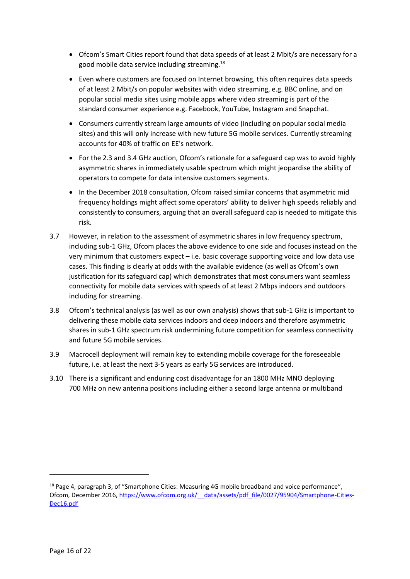- Ofcom's Smart Cities report found that data speeds of at least 2 Mbit/s are necessary for a good mobile data service including streaming.<sup>18</sup>
- Even where customers are focused on Internet browsing, this often requires data speeds of at least 2 Mbit/s on popular websites with video streaming, e.g. BBC online, and on popular social media sites using mobile apps where video streaming is part of the standard consumer experience e.g. Facebook, YouTube, Instagram and Snapchat.
- Consumers currently stream large amounts of video (including on popular social media sites) and this will only increase with new future 5G mobile services. Currently streaming accounts for 40% of traffic on EE's network.
- For the 2.3 and 3.4 GHz auction, Ofcom's rationale for a safeguard cap was to avoid highly asymmetric shares in immediately usable spectrum which might jeopardise the ability of operators to compete for data intensive customers segments.
- In the December 2018 consultation, Ofcom raised similar concerns that asymmetric mid frequency holdings might affect some operators' ability to deliver high speeds reliably and consistently to consumers, arguing that an overall safeguard cap is needed to mitigate this risk.
- 3.7 However, in relation to the assessment of asymmetric shares in low frequency spectrum, including sub-1 GHz, Ofcom places the above evidence to one side and focuses instead on the very minimum that customers expect – i.e. basic coverage supporting voice and low data use cases. This finding is clearly at odds with the available evidence (as well as Ofcom's own justification for its safeguard cap) which demonstrates that most consumers want seamless connectivity for mobile data services with speeds of at least 2 Mbps indoors and outdoors including for streaming.
- 3.8 Ofcom's technical analysis (as well as our own analysis) shows that sub-1 GHz is important to delivering these mobile data services indoors and deep indoors and therefore asymmetric shares in sub-1 GHz spectrum risk undermining future competition for seamless connectivity and future 5G mobile services.
- 3.9 Macrocell deployment will remain key to extending mobile coverage for the foreseeable future, i.e. at least the next 3-5 years as early 5G services are introduced.
- 3.10 There is a significant and enduring cost disadvantage for an 1800 MHz MNO deploying 700 MHz on new antenna positions including either a second large antenna or multiband

1

 $18$  Page 4, paragraph 3, of "Smartphone Cities: Measuring 4G mobile broadband and voice performance", Ofcom, December 2016, https://www.ofcom.org.uk/ data/assets/pdf file/0027/95904/Smartphone-Cities-[Dec16.pdf](https://www.ofcom.org.uk/__data/assets/pdf_file/0027/95904/Smartphone-Cities-Dec16.pdf)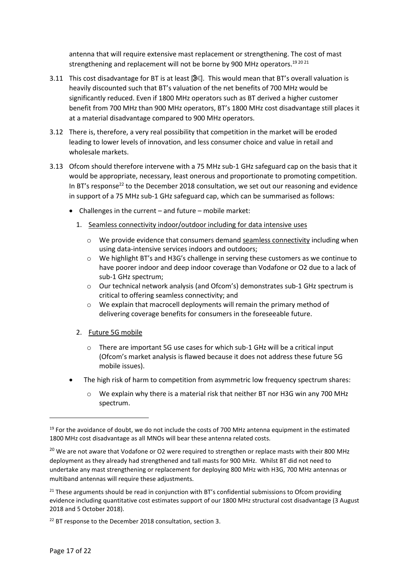antenna that will require extensive mast replacement or strengthening. The cost of mast strengthening and replacement will not be borne by 900 MHz operators.<sup>19 20 21</sup>

- 3.11 This cost disadvantage for BT is at least  $[$  $\mathbb{R}$ ]. This would mean that BT's overall valuation is heavily discounted such that BT's valuation of the net benefits of 700 MHz would be significantly reduced. Even if 1800 MHz operators such as BT derived a higher customer benefit from 700 MHz than 900 MHz operators, BT's 1800 MHz cost disadvantage still places it at a material disadvantage compared to 900 MHz operators.
- 3.12 There is, therefore, a very real possibility that competition in the market will be eroded leading to lower levels of innovation, and less consumer choice and value in retail and wholesale markets.
- 3.13 Ofcom should therefore intervene with a 75 MHz sub-1 GHz safeguard cap on the basis that it would be appropriate, necessary, least onerous and proportionate to promoting competition. In BT's response<sup>22</sup> to the December 2018 consultation, we set out our reasoning and evidence in support of a 75 MHz sub-1 GHz safeguard cap, which can be summarised as follows:
	- Challenges in the current and future mobile market:
		- 1. Seamless connectivity indoor/outdoor including for data intensive uses
			- o We provide evidence that consumers demand seamless connectivity including when using data-intensive services indoors and outdoors;
			- o We highlight BT's and H3G's challenge in serving these customers as we continue to have poorer indoor and deep indoor coverage than Vodafone or O2 due to a lack of sub-1 GHz spectrum;
			- o Our technical network analysis (and Ofcom's) demonstrates sub-1 GHz spectrum is critical to offering seamless connectivity; and
			- o We explain that macrocell deployments will remain the primary method of delivering coverage benefits for consumers in the foreseeable future.
		- 2. Future 5G mobile
			- o There are important 5G use cases for which sub-1 GHz will be a critical input (Ofcom's market analysis is flawed because it does not address these future 5G mobile issues).
	- The high risk of harm to competition from asymmetric low frequency spectrum shares:
		- o We explain why there is a material risk that neither BT nor H3G win any 700 MHz spectrum.

 $19$  For the avoidance of doubt, we do not include the costs of 700 MHz antenna equipment in the estimated 1800 MHz cost disadvantage as all MNOs will bear these antenna related costs.

<sup>&</sup>lt;sup>20</sup> We are not aware that Vodafone or O2 were required to strengthen or replace masts with their 800 MHz deployment as they already had strengthened and tall masts for 900 MHz. Whilst BT did not need to undertake any mast strengthening or replacement for deploying 800 MHz with H3G, 700 MHz antennas or multiband antennas will require these adjustments.

 $21$  These arguments should be read in conjunction with BT's confidential submissions to Ofcom providing evidence including quantitative cost estimates support of our 1800 MHz structural cost disadvantage (3 August 2018 and 5 October 2018).

<sup>&</sup>lt;sup>22</sup> BT response to the December 2018 consultation, section 3.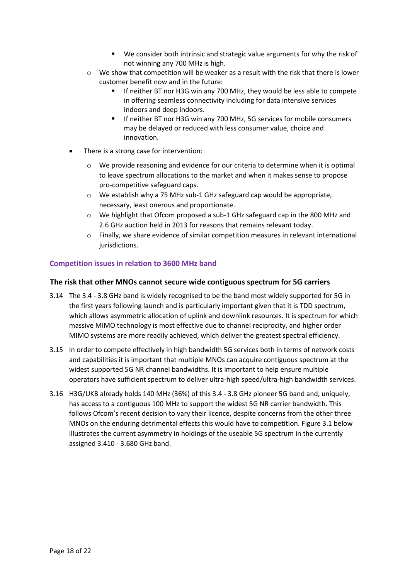- We consider both intrinsic and strategic value arguments for why the risk of not winning any 700 MHz is high.
- $\circ$  We show that competition will be weaker as a result with the risk that there is lower customer benefit now and in the future:
	- If neither BT nor H3G win any 700 MHz, they would be less able to compete in offering seamless connectivity including for data intensive services indoors and deep indoors.
	- If neither BT nor H3G win any 700 MHz, 5G services for mobile consumers may be delayed or reduced with less consumer value, choice and innovation.
- There is a strong case for intervention:
	- $\circ$  We provide reasoning and evidence for our criteria to determine when it is optimal to leave spectrum allocations to the market and when it makes sense to propose pro-competitive safeguard caps.
	- o We establish why a 75 MHz sub-1 GHz safeguard cap would be appropriate, necessary, least onerous and proportionate.
	- o We highlight that Ofcom proposed a sub-1 GHz safeguard cap in the 800 MHz and 2.6 GHz auction held in 2013 for reasons that remains relevant today.
	- o Finally, we share evidence of similar competition measures in relevant international jurisdictions.

# <span id="page-17-0"></span>**Competition issues in relation to 3600 MHz band**

#### **The risk that other MNOs cannot secure wide contiguous spectrum for 5G carriers**

- 3.14 The 3.4 3.8 GHz band is widely recognised to be the band most widely supported for 5G in the first years following launch and is particularly important given that it is TDD spectrum, which allows asymmetric allocation of uplink and downlink resources. It is spectrum for which massive MIMO technology is most effective due to channel reciprocity, and higher order MIMO systems are more readily achieved, which deliver the greatest spectral efficiency.
- 3.15 In order to compete effectively in high bandwidth 5G services both in terms of network costs and capabilities it is important that multiple MNOs can acquire contiguous spectrum at the widest supported 5G NR channel bandwidths. It is important to help ensure multiple operators have sufficient spectrum to deliver ultra-high speed/ultra-high bandwidth services.
- 3.16 H3G/UKB already holds 140 MHz (36%) of this 3.4 3.8 GHz pioneer 5G band and, uniquely, has access to a contiguous 100 MHz to support the widest 5G NR carrier bandwidth. This follows Ofcom's recent decision to vary their licence, despite concerns from the other three MNOs on the enduring detrimental effects this would have to competition. [Figure 3.1](#page-18-0) below illustrates the current asymmetry in holdings of the useable 5G spectrum in the currently assigned 3.410 - 3.680 GHz band.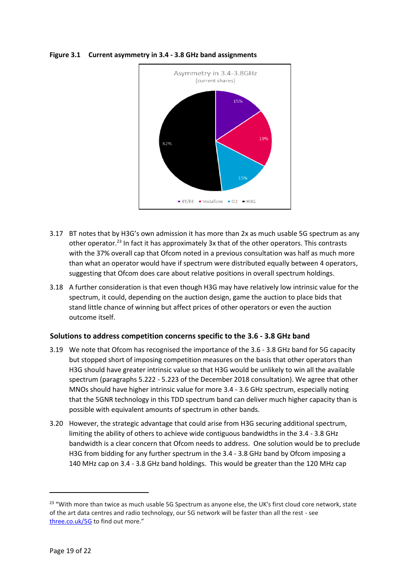

### <span id="page-18-0"></span>**Figure 3.1 Current asymmetry in 3.4 - 3.8 GHz band assignments**

- 3.17 BT notes that by H3G's own admission it has more than 2x as much usable 5G spectrum as any other operator.<sup>23</sup> In fact it has approximately 3x that of the other operators. This contrasts with the 37% overall cap that Ofcom noted in a previous consultation was half as much more than what an operator would have if spectrum were distributed equally between 4 operators, suggesting that Ofcom does care about relative positions in overall spectrum holdings.
- 3.18 A further consideration is that even though H3G may have relatively low intrinsic value for the spectrum, it could, depending on the auction design, game the auction to place bids that stand little chance of winning but affect prices of other operators or even the auction outcome itself.

# **Solutions to address competition concerns specific to the 3.6 - 3.8 GHz band**

- 3.19 We note that Ofcom has recognised the importance of the 3.6 3.8 GHz band for 5G capacity but stopped short of imposing competition measures on the basis that other operators than H3G should have greater intrinsic value so that H3G would be unlikely to win all the available spectrum (paragraphs 5.222 - 5.223 of the December 2018 consultation). We agree that other MNOs should have higher intrinsic value for more 3.4 - 3.6 GHz spectrum, especially noting that the 5GNR technology in this TDD spectrum band can deliver much higher capacity than is possible with equivalent amounts of spectrum in other bands.
- 3.20 However, the strategic advantage that could arise from H3G securing additional spectrum, limiting the ability of others to achieve wide contiguous bandwidths in the 3.4 - 3.8 GHz bandwidth is a clear concern that Ofcom needs to address. One solution would be to preclude H3G from bidding for any further spectrum in the 3.4 - 3.8 GHz band by Ofcom imposing a 140 MHz cap on 3.4 - 3.8 GHz band holdings. This would be greater than the 120 MHz cap

<sup>&</sup>lt;sup>23</sup> "With more than twice as much usable 5G Spectrum as anyone else, the UK's first cloud core network, state of the art data centres and radio technology, our 5G network will be faster than all the rest - see [three.co.uk/5G](http://three-email.co.uk/re?l=D0Ijw2bkvI5r41a62Ig) to find out more."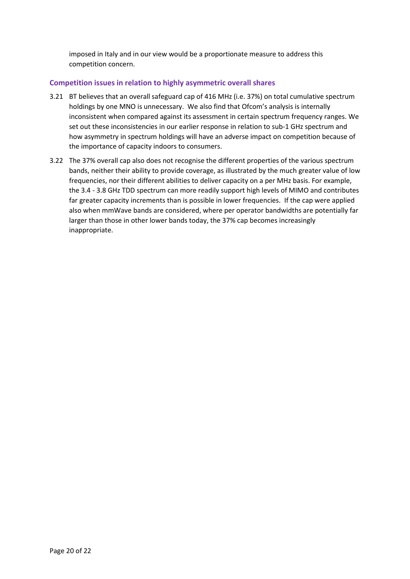imposed in Italy and in our view would be a proportionate measure to address this competition concern.

# <span id="page-19-0"></span>**Competition issues in relation to highly asymmetric overall shares**

- 3.21 BT believes that an overall safeguard cap of 416 MHz (i.e. 37%) on total cumulative spectrum holdings by one MNO is unnecessary. We also find that Ofcom's analysis is internally inconsistent when compared against its assessment in certain spectrum frequency ranges. We set out these inconsistencies in our earlier response in relation to sub-1 GHz spectrum and how asymmetry in spectrum holdings will have an adverse impact on competition because of the importance of capacity indoors to consumers.
- 3.22 The 37% overall cap also does not recognise the different properties of the various spectrum bands, neither their ability to provide coverage, as illustrated by the much greater value of low frequencies, nor their different abilities to deliver capacity on a per MHz basis. For example, the 3.4 - 3.8 GHz TDD spectrum can more readily support high levels of MIMO and contributes far greater capacity increments than is possible in lower frequencies. If the cap were applied also when mmWave bands are considered, where per operator bandwidths are potentially far larger than those in other lower bands today, the 37% cap becomes increasingly inappropriate.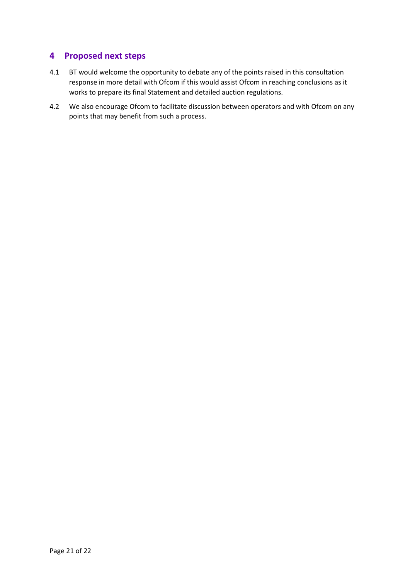# <span id="page-20-0"></span>**4 Proposed next steps**

- 4.1 BT would welcome the opportunity to debate any of the points raised in this consultation response in more detail with Ofcom if this would assist Ofcom in reaching conclusions as it works to prepare its final Statement and detailed auction regulations.
- 4.2 We also encourage Ofcom to facilitate discussion between operators and with Ofcom on any points that may benefit from such a process.